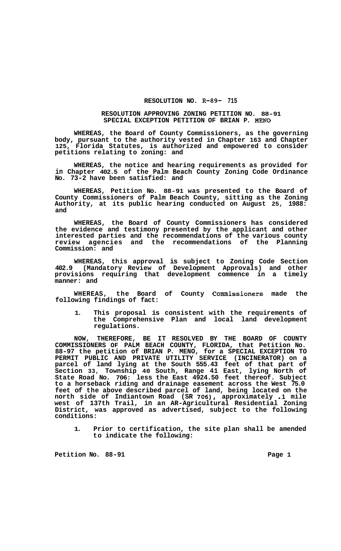## **RESOLUTION NO. R-89- 715**

## **RESOLUTION APPROVING ZONING PETITION NO. 88-91 SPECIAL EXCEPTION PETITION OF BRIAN P. MENO**

**WHEREAS, the Board of County Commissioners, as the governing body, pursuant to the authority vested in Chapter 163 and Chapter 125, Florida Statutes, is authorized and empowered to consider petitions relating to zoning: and** 

**WHEREAS, the notice and hearing requirements as provided for in Chapter 402.5 of the Palm Beach County Zoning Code Ordinance No. 73-2 have been satisfied: and** 

**WHEREAS, Petition No. 88-91 was presented to the Board of County Commissioners of Palm Beach County, sitting as the Zoning Authority, at its public hearing conducted on August 25, 1988: and** 

**WHEREAS, the Board of County Commissioners has considered the evidence and testimony presented by the applicant and other interested parties and the recommendations of the various county review agencies and the recommendations of the Planning Commission: and** 

**WHEREAS, this approval is subject to Zoning Code Section 402.9 (Mandatory Review of Development Approvals) and other provisions requiring that development commence in a timely manner: and** 

**WHEREAS, the Board of County Commissioners made the following findings of fact:** 

**1. This proposal is consistent with the requirements of the Comprehensive Plan and local land development regulations.** 

**NOW, THEREFORE, BE IT RESOLVED BY THE BOARD OF COUNTY COMMISSIONERS OF PALM BEACH COUNTY, FLORIDA, that Petition No. 88-97 the petition of BRIAN P. MENO, for a SPECIAL EXCEPTION TO PERMIT PUBLIC AND PRIVATE UTILITY SERVICE (INCINERATOR) on a parcel of land lying at the South 555.43 feet of that part of Section 33, Township 40 South, Range 41 East, lying North of State Road No. 706: less the East 4924.50 feet thereof. Subject to a horseback riding and drainage easement across the West 75.0 feet of the above described parcel of land, being located on the north side of Indiantown Road (SR** *706),* **approximately .1 mile west of 137th Trail, in an AR-Agricultural Residential Zoning District, was approved as advertised, subject to the following conditions:** 

**1. Prior to certification, the site plan shall be amended to indicate the following:** 

**Petition No. 88-91 Page 1**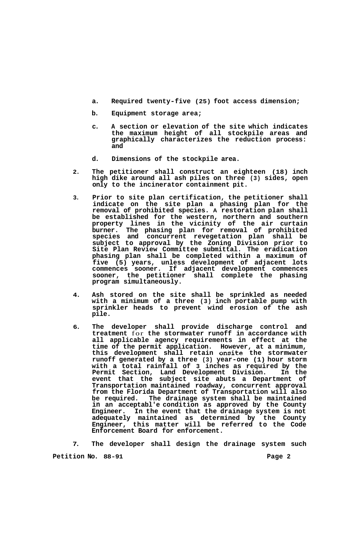- **a. Required twenty-five (25) foot access dimension;**
- **b. Equipment storage area;**
- **c. A section or elevation of the site which indicates the maximum height of all stockpile areas and graphically characterizes the reduction process: and**
- **d. Dimensions of the stockpile area.**
- **2. The petitioner shall construct an eighteen (18) inch high dike around all ash piles on three (3) sides, open only to the incinerator containment pit.**
- **3. Prior to site plan certification, the petitioner shall indicate on the site plan a phasing plan for the removal of prohibited species. A restoration plan shall be established for the western, northern and southern property lines in the vicinity of the air curtain burner. The phasing plan for removal of prohibited species and concurrent revegetation plan shall be subject to approval by the Zoning Division prior to Site Plan Review Committee submittal. The eradication phasing plan shall be completed within a maximum of five (5) years, unless development of adjacent lots commences sooner. If adjacent development commences sooner, the petitioner shall complete the phasing program simultaneously.**
- **4. Ash stored on the site shall be sprinkled as needed with a minimum of a three (3) inch portable pump with sprinkler heads to prevent wind erosion of the ash pile.**
- **6. The developer shall provide discharge control and treatment** for **the stormwater runoff in accordance with all applicable agency requirements in effect at the time of the permit application. However, at a minimum, this development shall retain onsite the stormwater runoff generated by a three (3) year-one (1) hour storm with a total rainfall of 3 inches as required by the Permit Section, Land Development Division. In the event that the subject site abuts a Department of Transportation maintained roadway, concurrent approval from the Florida Department of Transportation will also be required. The drainage system shall be maintained in an acceptabl'e condition as approved by the County Engineer. In the event that the drainage system is not adequately maintained as determined by the County Engineer, this matter will be referred to the Code Enforcement Board for enforcement.**

**7. The developer shall design the drainage system such** 

**Petition No.** 88-91 **Page 2 Page 2**